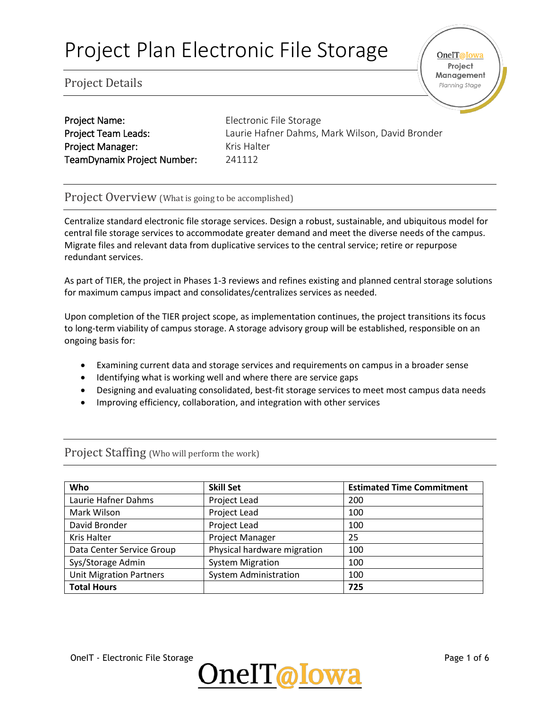OneIT@Iowa Project Management Planning Stage

## Project Details

| <b>Project Name:</b>        | Electronic  |
|-----------------------------|-------------|
| <b>Project Team Leads:</b>  | Laurie Haf  |
| <b>Project Manager:</b>     | Kris Halter |
| TeamDynamix Project Number: | 241112      |

onic File Storage Hafner Dahms, Mark Wilson, David Bronder

#### Project Overview (What is going to be accomplished)

Centralize standard electronic file storage services. Design a robust, sustainable, and ubiquitous model for central file storage services to accommodate greater demand and meet the diverse needs of the campus. Migrate files and relevant data from duplicative services to the central service; retire or repurpose redundant services.

As part of TIER, the project in Phases 1-3 reviews and refines existing and planned central storage solutions for maximum campus impact and consolidates/centralizes services as needed.

Upon completion of the TIER project scope, as implementation continues, the project transitions its focus to long-term viability of campus storage. A storage advisory group will be established, responsible on an ongoing basis for:

- Examining current data and storage services and requirements on campus in a broader sense
- Identifying what is working well and where there are service gaps
- Designing and evaluating consolidated, best-fit storage services to meet most campus data needs
- Improving efficiency, collaboration, and integration with other services

| Who                            | <b>Skill Set</b>             | <b>Estimated Time Commitment</b> |
|--------------------------------|------------------------------|----------------------------------|
| Laurie Hafner Dahms            | Project Lead                 | 200                              |
| Mark Wilson                    | Project Lead                 | 100                              |
| David Bronder                  | Project Lead                 | 100                              |
| <b>Kris Halter</b>             | <b>Project Manager</b>       | 25                               |
| Data Center Service Group      | Physical hardware migration  | 100                              |
| Sys/Storage Admin              | <b>System Migration</b>      | 100                              |
| <b>Unit Migration Partners</b> | <b>System Administration</b> | 100                              |
| <b>Total Hours</b>             |                              | 725                              |

### Project Staffing (Who will perform the work)

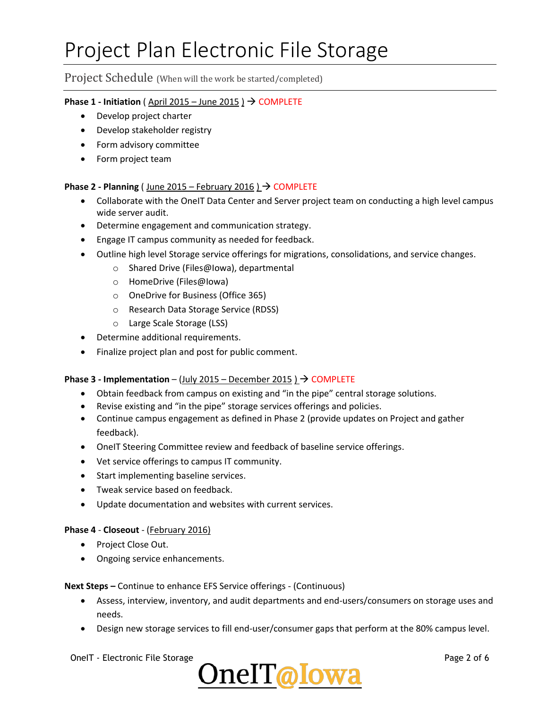#### Project Schedule (When will the work be started/completed)

#### **Phase 1 - Initiation** ( April 2015 – June 2015 )  $\rightarrow$  COMPLETE

- Develop project charter
- Develop stakeholder registry
- Form advisory committee
- Form project team

#### **Phase 2 - Planning** ( June 2015 – February 2016 ) → COMPLETE

- Collaborate with the OneIT Data Center and Server project team on conducting a high level campus wide server audit.
- Determine engagement and communication strategy.
- **•** Engage IT campus community as needed for feedback.
- Outline high level Storage service offerings for migrations, consolidations, and service changes.
	- o Shared Drive (Files@Iowa), departmental
	- o HomeDrive (Files@Iowa)
	- o OneDrive for Business (Office 365)
	- o Research Data Storage Service (RDSS)
	- o Large Scale Storage (LSS)
- Determine additional requirements.
- Finalize project plan and post for public comment.

#### **Phase 3 - Implementation – (July 2015 – December 2015 )**  $\rightarrow$  **COMPLETE**

- Obtain feedback from campus on existing and "in the pipe" central storage solutions.
- Revise existing and "in the pipe" storage services offerings and policies.
- Continue campus engagement as defined in Phase 2 (provide updates on Project and gather feedback).
- OneIT Steering Committee review and feedback of baseline service offerings.
- Vet service offerings to campus IT community.
- Start implementing baseline services.
- Tweak service based on feedback.
- Update documentation and websites with current services.

#### **Phase 4** - **Closeout** - (February 2016)

- Project Close Out.
- Ongoing service enhancements.

**Next Steps –** Continue to enhance EFS Service offerings - (Continuous)

- Assess, interview, inventory, and audit departments and end-users/consumers on storage uses and needs.
- **•** Design new storage services to fill end-user/consumer gaps that perform at the 80% campus level.

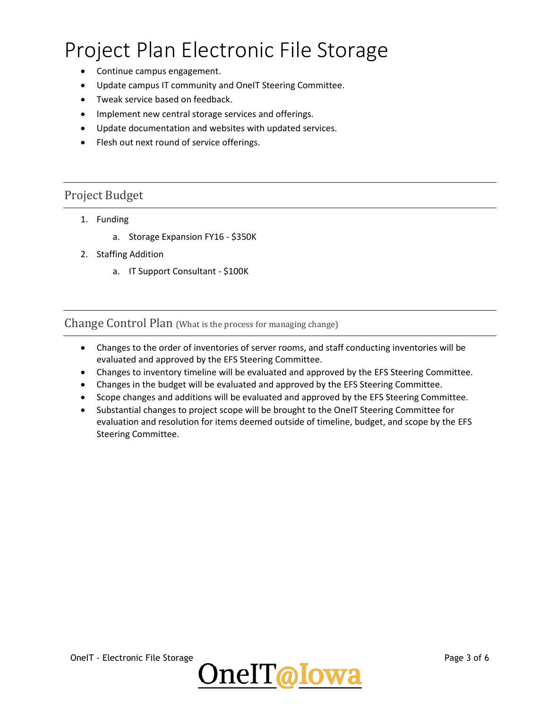- Continue campus engagement.
- Update campus IT community and OneIT Steering Committee.
- Tweak service based on feedback.
- Implement new central storage services and offerings.
- Update documentation and websites with updated services.
- Flesh out next round of service offerings.

### Project Budget

- 1. Funding
	- a. Storage Expansion FY16 \$350K
- 2. Staffing Addition
	- a. IT Support Consultant \$100K

Change Control Plan (What is the process for managing change)

- Changes to the order of inventories of server rooms, and staff conducting inventories will be evaluated and approved by the EFS Steering Committee.
- Changes to inventory timeline will be evaluated and approved by the EFS Steering Committee.
- Changes in the budget will be evaluated and approved by the EFS Steering Committee.
- Scope changes and additions will be evaluated and approved by the EFS Steering Committee.
- Substantial changes to project scope will be brought to the OneIT Steering Committee for evaluation and resolution for items deemed outside of timeline, budget, and scope by the EFS Steering Committee.



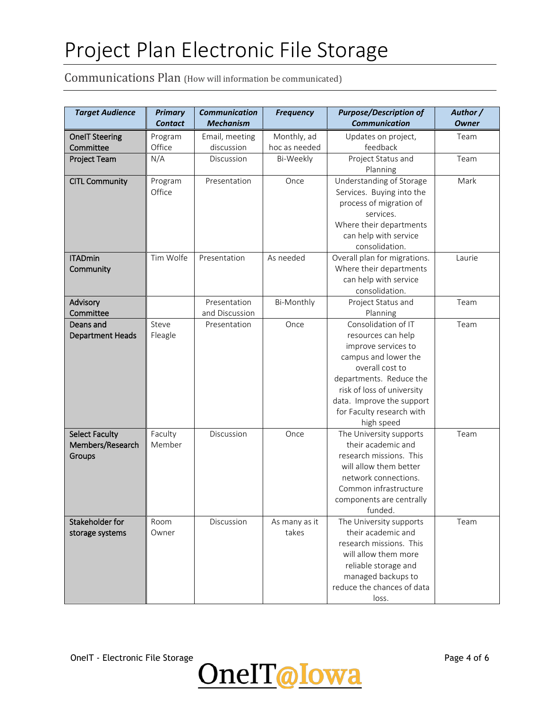## Communications Plan (How will information be communicated)

| <b>Target Audience</b>  | <b>Primary</b> | <b>Communication</b> | <b>Frequency</b> | <b>Purpose/Description of</b>                         | Author /     |
|-------------------------|----------------|----------------------|------------------|-------------------------------------------------------|--------------|
|                         | <b>Contact</b> | <b>Mechanism</b>     |                  | <b>Communication</b>                                  | <b>Owner</b> |
| <b>OneIT Steering</b>   | Program        | Email, meeting       | Monthly, ad      | Updates on project,                                   | Team         |
| Committee               | Office         | discussion           | hoc as needed    | feedback                                              |              |
| Project Team            | N/A            | Discussion           | Bi-Weekly        | Project Status and                                    | Team         |
|                         |                |                      |                  | Planning                                              |              |
| <b>CITL Community</b>   | Program        | Presentation         | Once             | Understanding of Storage                              | Mark         |
|                         | Office         |                      |                  | Services. Buying into the                             |              |
|                         |                |                      |                  | process of migration of                               |              |
|                         |                |                      |                  | services.                                             |              |
|                         |                |                      |                  | Where their departments                               |              |
|                         |                |                      |                  | can help with service                                 |              |
|                         |                |                      |                  | consolidation.                                        |              |
| <b>ITADmin</b>          | Tim Wolfe      | Presentation         | As needed        | Overall plan for migrations.                          | Laurie       |
| Community               |                |                      |                  | Where their departments                               |              |
|                         |                |                      |                  | can help with service                                 |              |
|                         |                |                      |                  | consolidation.                                        |              |
| Advisory                |                | Presentation         | Bi-Monthly       | Project Status and                                    | Team         |
| Committee               |                | and Discussion       |                  | Planning                                              |              |
| Deans and               | Steve          | Presentation         | Once             | Consolidation of IT                                   | Team         |
| <b>Department Heads</b> | Fleagle        |                      |                  | resources can help                                    |              |
|                         |                |                      |                  | improve services to                                   |              |
|                         |                |                      |                  | campus and lower the                                  |              |
|                         |                |                      |                  | overall cost to                                       |              |
|                         |                |                      |                  | departments. Reduce the<br>risk of loss of university |              |
|                         |                |                      |                  | data. Improve the support                             |              |
|                         |                |                      |                  | for Faculty research with                             |              |
|                         |                |                      |                  | high speed                                            |              |
| <b>Select Faculty</b>   | Faculty        | Discussion           | Once             | The University supports                               | Team         |
| Members/Research        | Member         |                      |                  | their academic and                                    |              |
| Groups                  |                |                      |                  | research missions. This                               |              |
|                         |                |                      |                  | will allow them better                                |              |
|                         |                |                      |                  | network connections.                                  |              |
|                         |                |                      |                  | Common infrastructure                                 |              |
|                         |                |                      |                  | components are centrally                              |              |
|                         |                |                      |                  | funded.                                               |              |
| Stakeholder for         | Room           | Discussion           | As many as it    | The University supports                               | Team         |
| storage systems         | Owner          |                      | takes            | their academic and                                    |              |
|                         |                |                      |                  | research missions. This                               |              |
|                         |                |                      |                  | will allow them more                                  |              |
|                         |                |                      |                  | reliable storage and                                  |              |
|                         |                |                      |                  | managed backups to                                    |              |
|                         |                |                      |                  | reduce the chances of data                            |              |
|                         |                |                      |                  | loss.                                                 |              |

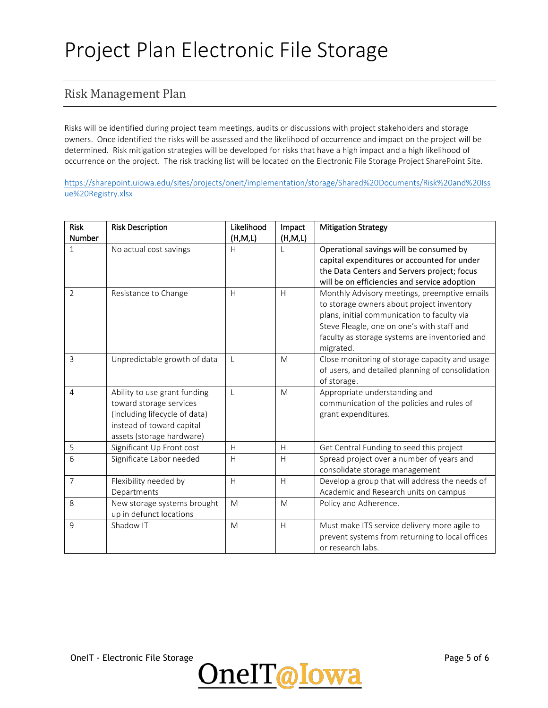## Risk Management Plan

Risks will be identified during project team meetings, audits or discussions with project stakeholders and storage owners. Once identified the risks will be assessed and the likelihood of occurrence and impact on the project will be determined. Risk mitigation strategies will be developed for risks that have a high impact and a high likelihood of occurrence on the project. The risk tracking list will be located on the Electronic File Storage Project SharePoint Site.

[https://sharepoint.uiowa.edu/sites/projects/oneit/implementation/storage/Shared%20Documents/Risk%20and%20Iss](https://sharepoint.uiowa.edu/sites/projects/oneit/implementation/storage/Shared%20Documents/Risk%20and%20Issue%20Registry.xlsx) [ue%20Registry.xlsx](https://sharepoint.uiowa.edu/sites/projects/oneit/implementation/storage/Shared%20Documents/Risk%20and%20Issue%20Registry.xlsx)

| <b>Risk</b>    | <b>Risk Description</b>       | Likelihood | Impact  | <b>Mitigation Strategy</b>                                                                         |
|----------------|-------------------------------|------------|---------|----------------------------------------------------------------------------------------------------|
| <b>Number</b>  |                               | (H,M,L)    | (H,M,L) |                                                                                                    |
| $\mathbf{1}$   | No actual cost savings        | Н          |         | Operational savings will be consumed by                                                            |
|                |                               |            |         | capital expenditures or accounted for under                                                        |
|                |                               |            |         | the Data Centers and Servers project; focus                                                        |
|                |                               |            |         | will be on efficiencies and service adoption                                                       |
| $\overline{2}$ | Resistance to Change          | H          | H       | Monthly Advisory meetings, preemptive emails                                                       |
|                |                               |            |         | to storage owners about project inventory                                                          |
|                |                               |            |         | plans, initial communication to faculty via                                                        |
|                |                               |            |         | Steve Fleagle, one on one's with staff and                                                         |
|                |                               |            |         | faculty as storage systems are inventoried and                                                     |
|                |                               |            |         | migrated.                                                                                          |
| 3              | Unpredictable growth of data  | L          | M       | Close monitoring of storage capacity and usage<br>of users, and detailed planning of consolidation |
|                |                               |            |         | of storage.                                                                                        |
| 4              | Ability to use grant funding  | L          | M       | Appropriate understanding and                                                                      |
|                | toward storage services       |            |         | communication of the policies and rules of                                                         |
|                | (including lifecycle of data) |            |         | grant expenditures.                                                                                |
|                | instead of toward capital     |            |         |                                                                                                    |
|                | assets (storage hardware)     |            |         |                                                                                                    |
| 5              | Significant Up Front cost     | H          | H       | Get Central Funding to seed this project                                                           |
| 6              | Significate Labor needed      | H          | H       | Spread project over a number of years and                                                          |
|                |                               |            |         | consolidate storage management                                                                     |
| $\overline{7}$ | Flexibility needed by         | H          | H       | Develop a group that will address the needs of                                                     |
|                | Departments                   |            |         | Academic and Research units on campus                                                              |
| 8              | New storage systems brought   | M          | M       | Policy and Adherence.                                                                              |
|                | up in defunct locations       |            |         |                                                                                                    |
| 9              | Shadow IT                     | M          | H       | Must make ITS service delivery more agile to                                                       |
|                |                               |            |         | prevent systems from returning to local offices                                                    |
|                |                               |            |         | or research labs.                                                                                  |